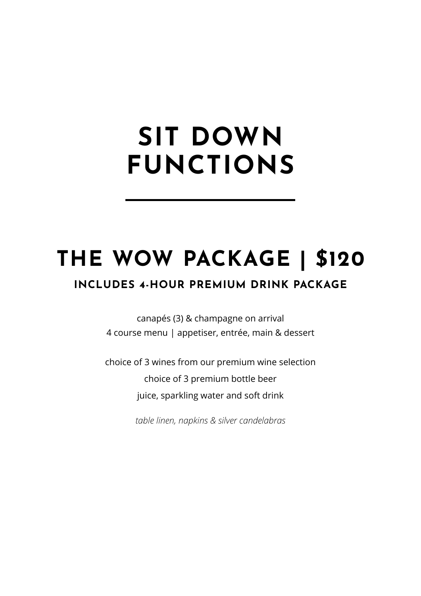# **SIT DOWN FUNCTIONS**

# **THE WOW PACKAGE | \$120**

### **INCLUDES 4-HOUR PREMIUM DRINK PACKAGE**

canapés (3) & champagne on arrival 4 course menu | appetiser, entrée, main & dessert

choice of 3 wines from our premium wine selection choice of 3 premium bottle beer juice, sparkling water and soft drink

*table linen, napkins & silver candelabras*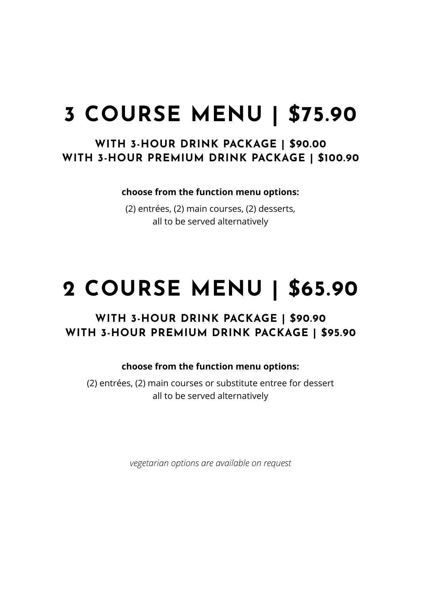# **3 COURSE MENU | \$75.90**

### **WITH 3-HOUR DRINK PACKAGE | \$90.00 WITH 3-HOUR PREMIUM DRINK PACKAGE | \$100.90**

**choose from the function menu options:**

(2) entrées, (2) main courses, (2) desserts, all to be served alternatively

## **2 COURSE MENU | \$65.90**

### **WITH 3-HOUR DRINK PACKAGE | \$90.90 WITH 3-HOUR PREMIUM DRINK PACKAGE | \$95.90**

#### **choose from the function menu options:**

(2) entrées, (2) main courses or substitute entree for dessert all to be served alternatively

*vegetarian options are available on request*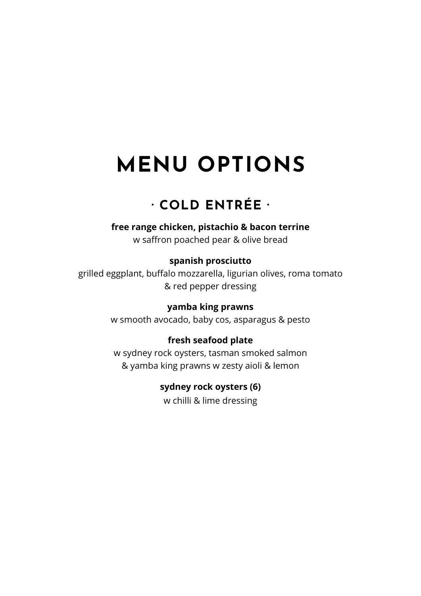### **· COLD ENTRÉE ·**

### **free range chicken, pistachio & bacon terrine**

w saffron poached pear & olive bread

#### **spanish prosciutto**

grilled eggplant, buffalo mozzarella, ligurian olives, roma tomato & red pepper dressing

#### **yamba king prawns**

w smooth avocado, baby cos, asparagus & pesto

#### **fresh seafood plate**

w sydney rock oysters, tasman smoked salmon & yamba king prawns w zesty aioli & lemon

#### **sydney rock oysters (6)**

w chilli & lime dressing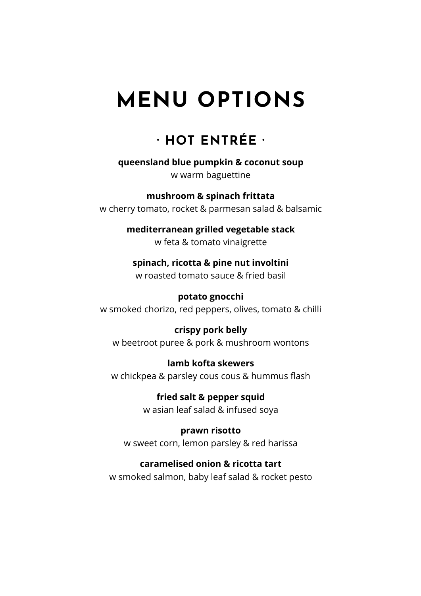### **· HOT ENTRÉE ·**

**queensland blue pumpkin & coconut soup**

w warm baguettine

**mushroom & spinach frittata**  w cherry tomato, rocket & parmesan salad & balsamic

> **mediterranean grilled vegetable stack**  w feta & tomato vinaigrette

**spinach, ricotta & pine nut involtini**  w roasted tomato sauce & fried basil

**potato gnocchi** w smoked chorizo, red peppers, olives, tomato & chilli

**crispy pork belly**  w beetroot puree & pork & mushroom wontons

**lamb kofta skewers**  w chickpea & parsley cous cous & hummus flash

> **fried salt & pepper squid** w asian leaf salad & infused soya

**prawn risotto** w sweet corn, lemon parsley & red harissa

**caramelised onion & ricotta tart**  w smoked salmon, baby leaf salad & rocket pesto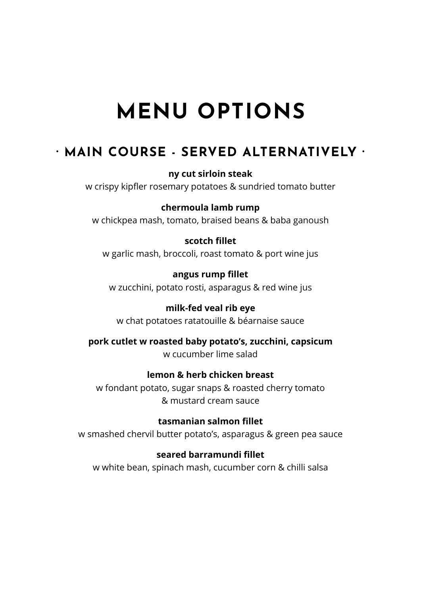### **· MAIN COURSE - SERVED ALTERNATIVELY ·**

**ny cut sirloin steak** 

w crispy kipfler rosemary potatoes & sundried tomato butter

#### **chermoula lamb rump**

w chickpea mash, tomato, braised beans & baba ganoush

#### **scotch fillet**

w garlic mash, broccoli, roast tomato & port wine jus

**angus rump fillet**  w zucchini, potato rosti, asparagus & red wine jus

**milk-fed veal rib eye**  w chat potatoes ratatouille & béarnaise sauce

**pork cutlet w roasted baby potato's, zucchini, capsicum**  w cucumber lime salad

#### **lemon & herb chicken breast**

w fondant potato, sugar snaps & roasted cherry tomato & mustard cream sauce

**tasmanian salmon fillet**  w smashed chervil butter potato's, asparagus & green pea sauce

#### **seared barramundi fillet**

w white bean, spinach mash, cucumber corn & chilli salsa